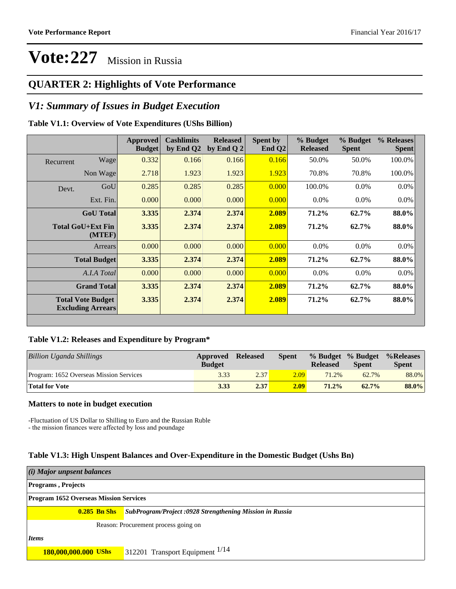### **QUARTER 2: Highlights of Vote Performance**

### *V1: Summary of Issues in Budget Execution*

#### **Table V1.1: Overview of Vote Expenditures (UShs Billion)**

|           |                                                      | Approved<br><b>Budget</b> | <b>Cashlimits</b><br>by End Q2 | <b>Released</b><br>by End Q $2$ | Spent by<br>End $Q2$ | % Budget<br><b>Released</b> | % Budget<br><b>Spent</b> | % Releases<br><b>Spent</b> |
|-----------|------------------------------------------------------|---------------------------|--------------------------------|---------------------------------|----------------------|-----------------------------|--------------------------|----------------------------|
| Recurrent | Wage                                                 | 0.332                     | 0.166                          | 0.166                           | 0.166                | 50.0%                       | 50.0%                    | 100.0%                     |
|           | Non Wage                                             | 2.718                     | 1.923                          | 1.923                           | 1.923                | 70.8%                       | 70.8%                    | 100.0%                     |
| Devt.     | GoU                                                  | 0.285                     | 0.285                          | 0.285                           | 0.000                | 100.0%                      | $0.0\%$                  | 0.0%                       |
|           | Ext. Fin.                                            | 0.000                     | 0.000                          | 0.000                           | 0.000                | $0.0\%$                     | $0.0\%$                  | $0.0\%$                    |
|           | <b>GoU</b> Total                                     | 3.335                     | 2.374                          | 2.374                           | 2.089                | 71.2%                       | 62.7%                    | 88.0%                      |
|           | Total GoU+Ext Fin<br>(MTEF)                          | 3.335                     | 2.374                          | 2.374                           | 2.089                | 71.2%                       | $62.7\%$                 | 88.0%                      |
|           | Arrears                                              | 0.000                     | 0.000                          | 0.000                           | 0.000                | $0.0\%$                     | 0.0%                     | 0.0%                       |
|           | <b>Total Budget</b>                                  | 3.335                     | 2.374                          | 2.374                           | 2.089                | 71.2%                       | 62.7%                    | 88.0%                      |
|           | A.I.A Total                                          | 0.000                     | 0.000                          | 0.000                           | 0.000                | $0.0\%$                     | $0.0\%$                  | $0.0\%$                    |
|           | <b>Grand Total</b>                                   | 3.335                     | 2.374                          | 2.374                           | 2.089                | 71.2%                       | 62.7%                    | 88.0%                      |
|           | <b>Total Vote Budget</b><br><b>Excluding Arrears</b> | 3.335                     | 2.374                          | 2.374                           | 2.089                | 71.2%                       | 62.7%                    | 88.0%                      |

#### **Table V1.2: Releases and Expenditure by Program\***

| Billion Uganda Shillings                | Approved<br><b>Budget</b> | <b>Released</b> | Spent             | <b>Released</b> | % Budget % Budget<br><b>Spent</b> | %Releases<br><b>Spent</b> |
|-----------------------------------------|---------------------------|-----------------|-------------------|-----------------|-----------------------------------|---------------------------|
| Program: 1652 Overseas Mission Services | 3.33                      | 2.37            | 2.09 <sub>1</sub> | 71.2%           | 62.7%                             | 88.0%                     |
| <b>Total for Vote</b>                   | 3.33                      | 2.37            | 2.09              | 71.2%           | $62.7\%$                          | 88.0%                     |

#### **Matters to note in budget execution**

-Fluctuation of US Dollar to Shilling to Euro and the Russian Ruble - the mission finances were affected by loss and poundage

#### **Table V1.3: High Unspent Balances and Over-Expenditure in the Domestic Budget (Ushs Bn)**

| (i) Major unpsent balances                    |                                                         |  |  |  |  |  |
|-----------------------------------------------|---------------------------------------------------------|--|--|--|--|--|
| <b>Programs</b> , Projects                    |                                                         |  |  |  |  |  |
| <b>Program 1652 Overseas Mission Services</b> |                                                         |  |  |  |  |  |
| $0.285$ Bn Shs                                | SubProgram/Project:0928 Strengthening Mission in Russia |  |  |  |  |  |
| Reason: Procurement process going on          |                                                         |  |  |  |  |  |
| <i>Items</i>                                  |                                                         |  |  |  |  |  |
| 180,000,000.000 UShs                          | 312201 Transport Equipment $^{1/14}$                    |  |  |  |  |  |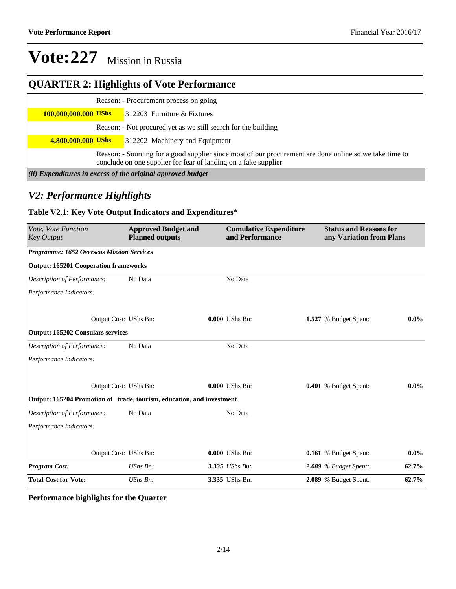## **QUARTER 2: Highlights of Vote Performance**

|                                                                                                                                                                            |  | Reason: - Procurement process on going                         |  |  |  |
|----------------------------------------------------------------------------------------------------------------------------------------------------------------------------|--|----------------------------------------------------------------|--|--|--|
| 100,000,000.000 UShs                                                                                                                                                       |  | $\blacksquare$ 312203 Furniture & Fixtures                     |  |  |  |
|                                                                                                                                                                            |  | Reason: - Not procured yet as we still search for the building |  |  |  |
| 4,800,000.000 UShs                                                                                                                                                         |  | $\blacksquare$ 312202 Machinery and Equipment                  |  |  |  |
| Reason: - Sourcing for a good supplier since most of our procurement are done online so we take time to<br>conclude on one supplier for fear of landing on a fake supplier |  |                                                                |  |  |  |
| (ii) Expenditures in excess of the original approved budget                                                                                                                |  |                                                                |  |  |  |

### *V2: Performance Highlights*

### **Table V2.1: Key Vote Output Indicators and Expenditures\***

| Vote, Vote Function<br><b>Key Output</b>                              | <b>Approved Budget and</b><br><b>Planned outputs</b> | <b>Cumulative Expenditure</b><br>and Performance | <b>Status and Reasons for</b><br>any Variation from Plans |          |
|-----------------------------------------------------------------------|------------------------------------------------------|--------------------------------------------------|-----------------------------------------------------------|----------|
| Programme: 1652 Overseas Mission Services                             |                                                      |                                                  |                                                           |          |
| <b>Output: 165201 Cooperation frameworks</b>                          |                                                      |                                                  |                                                           |          |
| Description of Performance:                                           | No Data                                              | No Data                                          |                                                           |          |
| Performance Indicators:                                               |                                                      |                                                  |                                                           |          |
|                                                                       | Output Cost: UShs Bn:                                | 0.000 UShs Bn:                                   | 1.527 % Budget Spent:                                     | $0.0\%$  |
| <b>Output: 165202 Consulars services</b>                              |                                                      |                                                  |                                                           |          |
| Description of Performance:                                           | No Data                                              | No Data                                          |                                                           |          |
| Performance Indicators:                                               |                                                      |                                                  |                                                           |          |
|                                                                       | Output Cost: UShs Bn:                                | $0.000$ UShs Bn:                                 | 0.401 % Budget Spent:                                     | $0.0\%$  |
| Output: 165204 Promotion of trade, tourism, education, and investment |                                                      |                                                  |                                                           |          |
| Description of Performance:                                           | No Data                                              | No Data                                          |                                                           |          |
| Performance Indicators:                                               |                                                      |                                                  |                                                           |          |
|                                                                       | Output Cost: UShs Bn:                                | 0.000 UShs Bn:                                   | 0.161 % Budget Spent:                                     | $0.0\%$  |
| <b>Program Cost:</b>                                                  | $UShs Bn$ :                                          | 3.335 UShs Bn:                                   | $2.089$ % Budget Spent:                                   | $62.7\%$ |
| <b>Total Cost for Vote:</b>                                           | UShs Bn:                                             | 3.335 UShs Bn:                                   | 2.089 % Budget Spent:                                     | 62.7%    |

### **Performance highlights for the Quarter**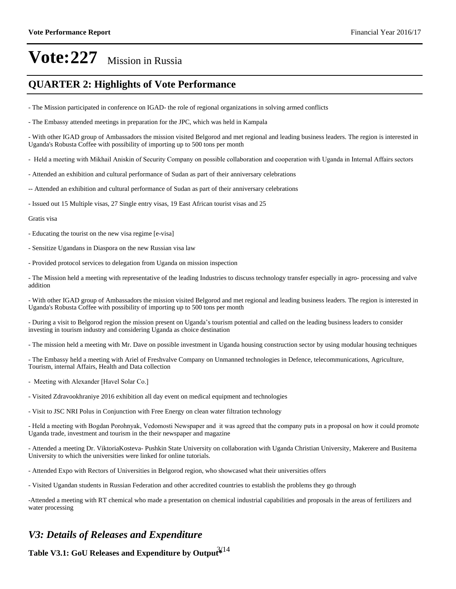### **QUARTER 2: Highlights of Vote Performance**

- The Mission participated in conference on IGAD- the role of regional organizations in solving armed conflicts

- The Embassy attended meetings in preparation for the JPC, which was held in Kampala

- With other IGAD group of Ambassadors the mission visited Belgorod and met regional and leading business leaders. The region is interested in Uganda's Robusta Coffee with possibility of importing up to 500 tons per month

- Held a meeting with Mikhail Aniskin of Security Company on possible collaboration and cooperation with Uganda in Internal Affairs sectors
- Attended an exhibition and cultural performance of Sudan as part of their anniversary celebrations
- -- Attended an exhibition and cultural performance of Sudan as part of their anniversary celebrations
- Issued out 15 Multiple visas, 27 Single entry visas, 19 East African tourist visas and 25

#### Gratis visa

- Educating the tourist on the new visa regime [e-visa]
- Sensitize Ugandans in Diaspora on the new Russian visa law
- Provided protocol services to delegation from Uganda on mission inspection

- The Mission held a meeting with representative of the leading Industries to discuss technology transfer especially in agro- processing and valve addition

- With other IGAD group of Ambassadors the mission visited Belgorod and met regional and leading business leaders. The region is interested in Uganda's Robusta Coffee with possibility of importing up to 500 tons per month

- During a visit to Belgorod region the mission present on Uganda's tourism potential and called on the leading business leaders to consider investing in tourism industry and considering Uganda as choice destination

- The mission held a meeting with Mr. Dave on possible investment in Uganda housing construction sector by using modular housing techniques

- The Embassy held a meeting with Ariel of Freshvalve Company on Unmanned technologies in Defence, telecommunications, Agriculture, Tourism, internal Affairs, Health and Data collection
- Meeting with Alexander [Havel Solar Co.]
- Visited Zdravookhraniye 2016 exhibition all day event on medical equipment and technologies
- Visit to JSC NRI Polus in Conjunction with Free Energy on clean water filtration technology

- Held a meeting with Bogdan Porohnyak, Vedomosti Newspaper and it was agreed that the company puts in a proposal on how it could promote Uganda trade, investment and tourism in the their newspaper and magazine

- Attended a meeting Dr. ViktoriaKosteva- Pushkin State University on collaboration with Uganda Christian University, Makerere and Busitema University to which the universities were linked for online tutorials.

- Attended Expo with Rectors of Universities in Belgorod region, who showcased what their universities offers
- Visited Ugandan students in Russian Federation and other accredited countries to establish the problems they go through

-Attended a meeting with RT chemical who made a presentation on chemical industrial capabilities and proposals in the areas of fertilizers and water processing

### *V3: Details of Releases and Expenditure*

**Table V3.1: GoU Releases and Expenditure by Output\*** 3/14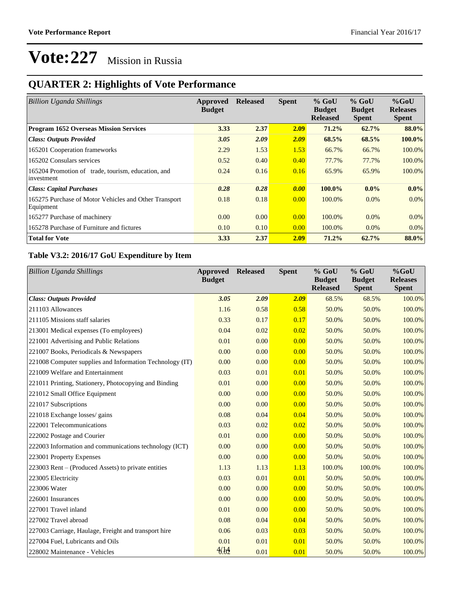## **QUARTER 2: Highlights of Vote Performance**

| <b>Billion Uganda Shillings</b>                                    | Approved<br><b>Budget</b> | <b>Released</b> | <b>Spent</b> | $%$ GoU<br><b>Budget</b><br><b>Released</b> | $%$ GoU<br><b>Budget</b><br><b>Spent</b> | $%$ GoU<br><b>Releases</b><br><b>Spent</b> |
|--------------------------------------------------------------------|---------------------------|-----------------|--------------|---------------------------------------------|------------------------------------------|--------------------------------------------|
| <b>Program 1652 Overseas Mission Services</b>                      | 3.33                      | 2.37            | 2.09         | 71.2%                                       | 62.7%                                    | 88.0%                                      |
| <b>Class: Outputs Provided</b>                                     | 3.05                      | 2.09            | 2.09         | 68.5%                                       | 68.5%                                    | 100.0%                                     |
| 165201 Cooperation frameworks                                      | 2.29                      | 1.53            | 1.53         | 66.7%                                       | 66.7%                                    | 100.0%                                     |
| 165202 Consulars services                                          | 0.52                      | 0.40            | 0.40         | 77.7%                                       | 77.7%                                    | 100.0%                                     |
| 165204 Promotion of trade, tourism, education, and<br>investment   | 0.24                      | 0.16            | 0.16         | 65.9%                                       | 65.9%                                    | 100.0%                                     |
| <b>Class: Capital Purchases</b>                                    | 0.28                      | 0.28            | 0.00         | 100.0%                                      | $0.0\%$                                  | $0.0\%$                                    |
| 165275 Purchase of Motor Vehicles and Other Transport<br>Equipment | 0.18                      | 0.18            | 0.00         | 100.0%                                      | $0.0\%$                                  | $0.0\%$                                    |
| 165277 Purchase of machinery                                       | 0.00                      | 0.00            | 0.00         | 100.0%                                      | $0.0\%$                                  | $0.0\%$                                    |
| 165278 Purchase of Furniture and fictures                          | 0.10                      | 0.10            | 0.00         | 100.0%                                      | $0.0\%$                                  | $0.0\%$                                    |
| <b>Total for Vote</b>                                              | 3.33                      | 2.37            | 2.09         | 71.2%                                       | 62.7%                                    | 88.0%                                      |

### **Table V3.2: 2016/17 GoU Expenditure by Item**

| <b>Billion Uganda Shillings</b>                          | Approved<br><b>Budget</b> | <b>Released</b> | <b>Spent</b> | % GoU<br><b>Budget</b><br><b>Released</b> | $%$ GoU<br><b>Budget</b><br><b>Spent</b> | %GoU<br><b>Releases</b><br><b>Spent</b> |
|----------------------------------------------------------|---------------------------|-----------------|--------------|-------------------------------------------|------------------------------------------|-----------------------------------------|
| <b>Class: Outputs Provided</b>                           | 3.05                      | 2.09            | 2.09         | 68.5%                                     | 68.5%                                    | 100.0%                                  |
| 211103 Allowances                                        | 1.16                      | 0.58            | 0.58         | 50.0%                                     | 50.0%                                    | 100.0%                                  |
| 211105 Missions staff salaries                           | 0.33                      | 0.17            | 0.17         | 50.0%                                     | 50.0%                                    | 100.0%                                  |
| 213001 Medical expenses (To employees)                   | 0.04                      | 0.02            | 0.02         | 50.0%                                     | 50.0%                                    | 100.0%                                  |
| 221001 Advertising and Public Relations                  | 0.01                      | 0.00            | 0.00         | 50.0%                                     | 50.0%                                    | 100.0%                                  |
| 221007 Books, Periodicals & Newspapers                   | 0.00                      | 0.00            | 0.00         | 50.0%                                     | 50.0%                                    | 100.0%                                  |
| 221008 Computer supplies and Information Technology (IT) | 0.00                      | 0.00            | 0.00         | 50.0%                                     | 50.0%                                    | 100.0%                                  |
| 221009 Welfare and Entertainment                         | 0.03                      | 0.01            | 0.01         | 50.0%                                     | 50.0%                                    | 100.0%                                  |
| 221011 Printing, Stationery, Photocopying and Binding    | 0.01                      | 0.00            | 0.00         | 50.0%                                     | 50.0%                                    | 100.0%                                  |
| 221012 Small Office Equipment                            | 0.00                      | 0.00            | 0.00         | 50.0%                                     | 50.0%                                    | 100.0%                                  |
| 221017 Subscriptions                                     | 0.00                      | 0.00            | 0.00         | 50.0%                                     | 50.0%                                    | 100.0%                                  |
| 221018 Exchange losses/ gains                            | 0.08                      | 0.04            | 0.04         | 50.0%                                     | 50.0%                                    | 100.0%                                  |
| 222001 Telecommunications                                | 0.03                      | 0.02            | 0.02         | 50.0%                                     | 50.0%                                    | 100.0%                                  |
| 222002 Postage and Courier                               | 0.01                      | 0.00            | 0.00         | 50.0%                                     | 50.0%                                    | 100.0%                                  |
| 222003 Information and communications technology (ICT)   | 0.00                      | 0.00            | 0.00         | 50.0%                                     | 50.0%                                    | 100.0%                                  |
| 223001 Property Expenses                                 | 0.00                      | 0.00            | 0.00         | 50.0%                                     | 50.0%                                    | 100.0%                                  |
| 223003 Rent – (Produced Assets) to private entities      | 1.13                      | 1.13            | 1.13         | 100.0%                                    | 100.0%                                   | 100.0%                                  |
| 223005 Electricity                                       | 0.03                      | 0.01            | 0.01         | 50.0%                                     | 50.0%                                    | 100.0%                                  |
| 223006 Water                                             | 0.00                      | 0.00            | 0.00         | 50.0%                                     | 50.0%                                    | 100.0%                                  |
| 226001 Insurances                                        | 0.00                      | 0.00            | 0.00         | 50.0%                                     | 50.0%                                    | 100.0%                                  |
| 227001 Travel inland                                     | 0.01                      | 0.00            | 0.00         | 50.0%                                     | 50.0%                                    | 100.0%                                  |
| 227002 Travel abroad                                     | 0.08                      | 0.04            | 0.04         | 50.0%                                     | 50.0%                                    | 100.0%                                  |
| 227003 Carriage, Haulage, Freight and transport hire     | 0.06                      | 0.03            | 0.03         | 50.0%                                     | 50.0%                                    | 100.0%                                  |
| 227004 Fuel, Lubricants and Oils                         | 0.01                      | 0.01            | 0.01         | 50.0%                                     | 50.0%                                    | 100.0%                                  |
| 228002 Maintenance - Vehicles                            | 46.62                     | 0.01            | 0.01         | 50.0%                                     | 50.0%                                    | 100.0%                                  |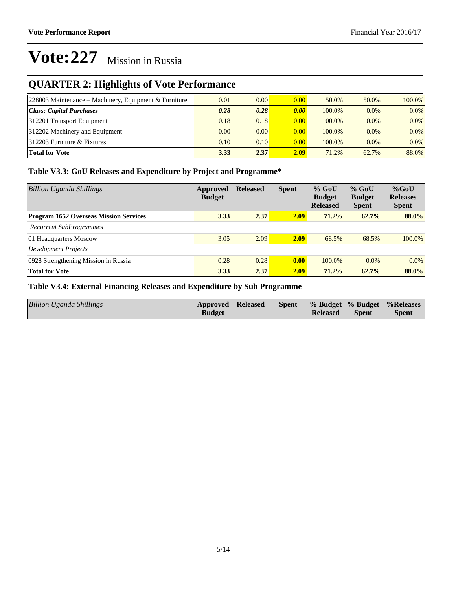## **QUARTER 2: Highlights of Vote Performance**

| $ 228003$ Maintenance – Machinery, Equipment & Furniture | 0.01 | 0.00 | 0.00 | 50.0%  | 50.0%   | 100.0%  |
|----------------------------------------------------------|------|------|------|--------|---------|---------|
| Class: Capital Purchases                                 | 0.28 | 0.28 | 0.00 | 100.0% | 0.0%    | $0.0\%$ |
| 312201 Transport Equipment                               | 0.18 | 0.18 | 0.00 | 100.0% | $0.0\%$ | $0.0\%$ |
| 312202 Machinery and Equipment                           | 0.00 | 0.00 | 0.00 | 100.0% | 0.0%    | $0.0\%$ |
| $ 312203$ Furniture & Fixtures                           | 0.10 | 0.10 | 0.00 | 100.0% | $0.0\%$ | $0.0\%$ |
| <b>Total for Vote</b>                                    | 3.33 | 2.37 | 2.09 | 71.2%  | 62.7%   | 88.0%   |

### **Table V3.3: GoU Releases and Expenditure by Project and Programme\***

| <b>Billion Uganda Shillings</b>               | Approved<br><b>Budget</b> | <b>Released</b> | <b>Spent</b> | $%$ GoU<br><b>Budget</b><br><b>Released</b> | $%$ GoU<br><b>Budget</b><br><b>Spent</b> | $%$ GoU<br><b>Releases</b><br><b>Spent</b> |
|-----------------------------------------------|---------------------------|-----------------|--------------|---------------------------------------------|------------------------------------------|--------------------------------------------|
| <b>Program 1652 Overseas Mission Services</b> | 3.33                      | 2.37            | 2.09         | 71.2%                                       | 62.7%                                    | 88.0%                                      |
| <b>Recurrent SubProgrammes</b>                |                           |                 |              |                                             |                                          |                                            |
| 01 Headquarters Moscow                        | 3.05                      | 2.09            | 2.09         | 68.5%                                       | 68.5%                                    | $100.0\%$                                  |
| Development Projects                          |                           |                 |              |                                             |                                          |                                            |
| 0928 Strengthening Mission in Russia          | 0.28                      | 0.28            | 0.00         | 100.0%                                      | 0.0%                                     | $0.0\%$                                    |
| <b>Total for Vote</b>                         | 3.33                      | 2.37            | 2.09         | 71.2%                                       | $62.7\%$                                 | 88.0%                                      |

### **Table V3.4: External Financing Releases and Expenditure by Sub Programme**

| Billion Uganda Shillings | <b>Approved Released</b><br><b>Budget</b> |  |  | <b>Released</b> | Spent | Spent % Budget % Budget % Releases<br><b>Spent</b> |
|--------------------------|-------------------------------------------|--|--|-----------------|-------|----------------------------------------------------|
|--------------------------|-------------------------------------------|--|--|-----------------|-------|----------------------------------------------------|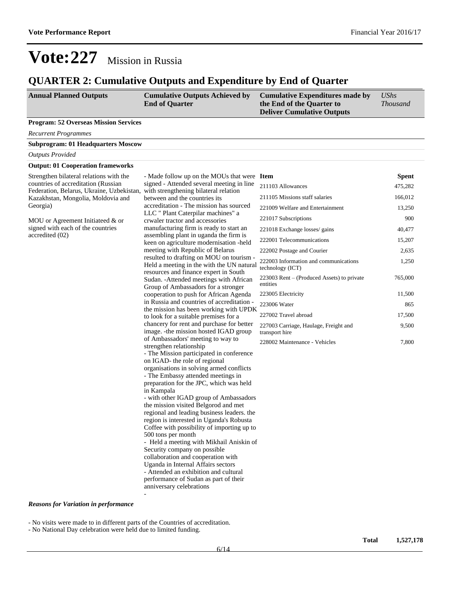### **QUARTER 2: Cumulative Outputs and Expenditure by End of Quarter**

| <b>Annual Planned Outputs</b> | <b>Cumulative Outputs Achieved by</b> | Cumulative Expenditures made by   | UShs            |
|-------------------------------|---------------------------------------|-----------------------------------|-----------------|
|                               | <b>End of Quarter</b>                 | the End of the Quarter to         | <i>Thousand</i> |
|                               |                                       | <b>Deliver Cumulative Outputs</b> |                 |

**Program: 52 Overseas Mission Services**

*Recurrent Programmes*

#### **Subprogram: 01 Headquarters Moscow**

*Outputs Provided*

#### **Output: 01 Cooperation frameworks**

Strengthen bilateral relations with the countries of accreditation (Russian Federation, Belarus, Ukraine, Uzbekistan, Kazakhstan, Mongolia, Moldovia and Georgia)

MOU or Agreement Initiateed & or signed with each of the countries accredited (02)

- Made follow up on the MOUs that were Item signed - Attended several meeting in line 211103 Allowances 475,282 with strengthening bilateral relation between and the countries its accreditation - The mission has sourced LLC " Plant Caterpilar machines" a crwaler tractor and accessories manufacturing firm is ready to start an assembling plant in uganda the firm is keen on agriculture modernisation -held meeting with Republic of Belarus resulted to drafting on MOU on tourism - Held a meeting in the with the UN natural resources and finance expert in South Sudan. -Attended meetings with African Group of Ambassadors for a stronger cooperation to push for African Agenda in Russia and countries of accreditation the mission has been working with UPDK to look for a suitable premises for a chancery for rent and purchase for better image. -the mission hosted IGAD group of Ambassadors' meeting to way to strengthen relationship - The Mission participated in conference on IGAD- the role of regional organisations in solving armed conflicts - The Embassy attended meetings in preparation for the JPC, which was held in Kampala - with other IGAD group of Ambassadors the mission visited Belgorod and met regional and leading business leaders. the region is interested in Uganda's Robusta Coffee with possibility of importing up to 500 tons per month - Held a meeting with Mikhail Aniskin of Security company on possible collaboration and cooperation with

Uganda in Internal Affairs sectors - Attended an exhibition and cultural performance of Sudan as part of their anniversary celebrations

|   | 21110971110 wanees                                        | ᠇ <i>᠇</i> )、∠∪∠ |
|---|-----------------------------------------------------------|------------------|
|   | 211105 Missions staff salaries                            | 166,012          |
|   | 221009 Welfare and Entertainment                          | 13,250           |
|   | 221017 Subscriptions                                      | 900              |
|   | 221018 Exchange losses/ gains                             | 40,477           |
|   | 222001 Telecommunications                                 | 15,207           |
|   | 222002 Postage and Courier                                | 2,635            |
|   | 222003 Information and communications<br>technology (ICT) | 1,250            |
|   | $223003$ Rent – (Produced Assets) to private<br>entities  | 765,000          |
|   | 223005 Electricity                                        | 11,500           |
| Č | 223006 Water                                              | 865              |
|   | 227002 Travel abroad                                      | 17,500           |
|   | 227003 Carriage, Haulage, Freight and<br>transport hire   | 9,500            |

228002 Maintenance - Vehicles 7,800

#### *Reasons for Variation in performance*

- No visits were made to in different parts of the Countries of accreditation.

-

- No National Day celebration were held due to limited funding.

**Spent**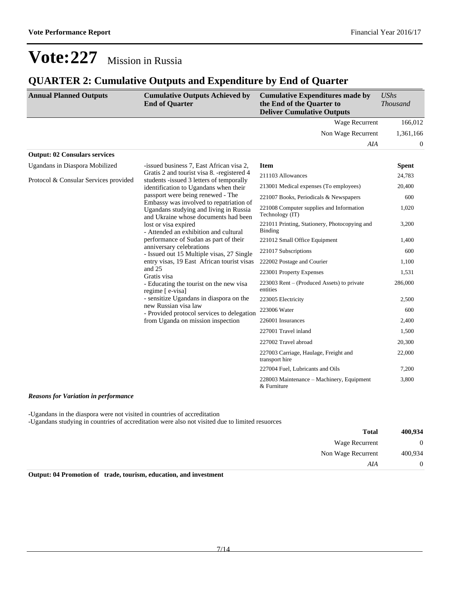### **QUARTER 2: Cumulative Outputs and Expenditure by End of Quarter**

| <b>Annual Planned Outputs</b>                                                                                                                                                         | <b>Cumulative Outputs Achieved by</b><br><b>End of Quarter</b>                          | <b>Cumulative Expenditures made by</b><br>the End of the Quarter to<br><b>Deliver Cumulative Outputs</b> | <b>UShs</b><br><b>Thousand</b> |
|---------------------------------------------------------------------------------------------------------------------------------------------------------------------------------------|-----------------------------------------------------------------------------------------|----------------------------------------------------------------------------------------------------------|--------------------------------|
|                                                                                                                                                                                       |                                                                                         | <b>Wage Recurrent</b>                                                                                    | 166,012                        |
|                                                                                                                                                                                       |                                                                                         | Non Wage Recurrent                                                                                       | 1,361,166                      |
|                                                                                                                                                                                       |                                                                                         | AIA                                                                                                      | 0                              |
| <b>Output: 02 Consulars services</b>                                                                                                                                                  |                                                                                         |                                                                                                          |                                |
| Ugandans in Diaspora Mobilized                                                                                                                                                        | -issued business 7, East African visa 2,                                                | <b>Item</b>                                                                                              | <b>Spent</b>                   |
| Protocol & Consular Services provided                                                                                                                                                 | Gratis 2 and tourist visa 8. - registered 4<br>students -issued 3 letters of temporally | 211103 Allowances                                                                                        | 24,783                         |
|                                                                                                                                                                                       | identification to Ugandans when their                                                   | 213001 Medical expenses (To employees)                                                                   | 20,400                         |
|                                                                                                                                                                                       | passport were being renewed - The<br>Embassy was involved to repatriation of            | 221007 Books, Periodicals & Newspapers                                                                   | 600                            |
|                                                                                                                                                                                       | Ugandans studying and living in Russia<br>and Ukraine whose documents had been          | 221008 Computer supplies and Information<br>Technology (IT)                                              | 1,020                          |
|                                                                                                                                                                                       | lost or visa expired<br>- Attended an exhibition and cultural                           | 221011 Printing, Stationery, Photocopying and<br>Binding                                                 | 3,200                          |
| performance of Sudan as part of their<br>anniversary celebrations<br>- Issued out 15 Multiple visas, 27 Single<br>entry visas, 19 East African tourist visas<br>and 25<br>Gratis visa | 221012 Small Office Equipment                                                           | 1,400                                                                                                    |                                |
|                                                                                                                                                                                       | 221017 Subscriptions                                                                    | 600                                                                                                      |                                |
|                                                                                                                                                                                       | 222002 Postage and Courier                                                              | 1,100                                                                                                    |                                |
|                                                                                                                                                                                       | 223001 Property Expenses                                                                | 1,531                                                                                                    |                                |
|                                                                                                                                                                                       | - Educating the tourist on the new visa<br>regime [e-visa]                              | 223003 Rent – (Produced Assets) to private<br>entities                                                   | 286,000                        |
|                                                                                                                                                                                       | - sensitize Ugandans in diaspora on the                                                 | 223005 Electricity                                                                                       | 2,500                          |
|                                                                                                                                                                                       | new Russian visa law<br>- Provided protocol services to delegation                      | 223006 Water                                                                                             | 600                            |
|                                                                                                                                                                                       | from Uganda on mission inspection                                                       | 226001 Insurances                                                                                        | 2,400                          |
|                                                                                                                                                                                       |                                                                                         | 227001 Travel inland                                                                                     | 1,500                          |
|                                                                                                                                                                                       |                                                                                         | 227002 Travel abroad                                                                                     | 20,300                         |
|                                                                                                                                                                                       |                                                                                         | 227003 Carriage, Haulage, Freight and<br>transport hire                                                  | 22,000                         |
|                                                                                                                                                                                       |                                                                                         | 227004 Fuel, Lubricants and Oils                                                                         | 7,200                          |
| $\mathbf{r}$                                                                                                                                                                          |                                                                                         | 228003 Maintenance - Machinery, Equipment<br>& Furniture                                                 | 3,800                          |

*Reasons for Variation in performance*

-Ugandans in the diaspora were not visited in countries of accreditation

-Ugandans studying in countries of accreditation were also not visited due to limited resuorces

| 400,934        | <b>Total</b>       |
|----------------|--------------------|
| $\overline{0}$ | Wage Recurrent     |
| 400,934        | Non Wage Recurrent |
| $\overline{0}$ | AIA                |
|                |                    |

**Output: 04 Promotion of trade, tourism, education, and investment**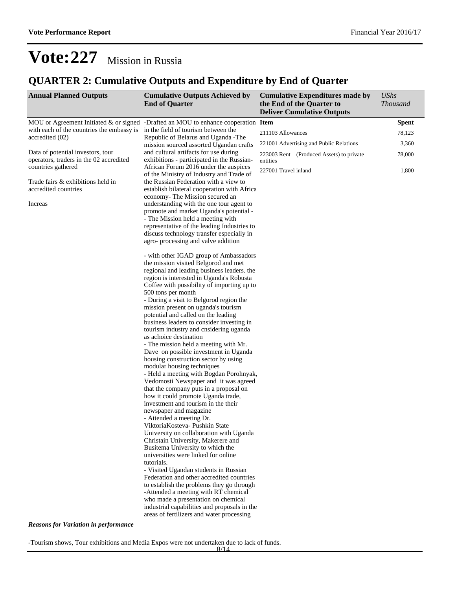## **QUARTER 2: Cumulative Outputs and Expenditure by End of Quarter**

| <b>Annual Planned Outputs</b>                                                | <b>Cumulative Outputs Achieved by</b><br><b>End of Quarter</b>                                                                                                                                                                                                                                                                                                                                                                                                                                                                                                                                                                                                                                                                                                                                                                                                                                                                                                                                                                                                                                                                                                                                                                                                                                                                                                                                                                                                                   | <b>Cumulative Expenditures made by</b><br>the End of the Quarter to<br><b>Deliver Cumulative Outputs</b> | <b>UShs</b><br><b>Thousand</b> |
|------------------------------------------------------------------------------|----------------------------------------------------------------------------------------------------------------------------------------------------------------------------------------------------------------------------------------------------------------------------------------------------------------------------------------------------------------------------------------------------------------------------------------------------------------------------------------------------------------------------------------------------------------------------------------------------------------------------------------------------------------------------------------------------------------------------------------------------------------------------------------------------------------------------------------------------------------------------------------------------------------------------------------------------------------------------------------------------------------------------------------------------------------------------------------------------------------------------------------------------------------------------------------------------------------------------------------------------------------------------------------------------------------------------------------------------------------------------------------------------------------------------------------------------------------------------------|----------------------------------------------------------------------------------------------------------|--------------------------------|
|                                                                              | MOU or Agreement Initiated $\&$ or signed -Drafted an MOU to enhance cooperation Item                                                                                                                                                                                                                                                                                                                                                                                                                                                                                                                                                                                                                                                                                                                                                                                                                                                                                                                                                                                                                                                                                                                                                                                                                                                                                                                                                                                            |                                                                                                          | <b>Spent</b>                   |
| with each of the countries the embassy is                                    | in the field of tourism between the                                                                                                                                                                                                                                                                                                                                                                                                                                                                                                                                                                                                                                                                                                                                                                                                                                                                                                                                                                                                                                                                                                                                                                                                                                                                                                                                                                                                                                              | 211103 Allowances                                                                                        | 78,123                         |
| accredited (02)                                                              | Republic of Belarus and Uganda - The<br>mission sourced assorted Ugandan crafts                                                                                                                                                                                                                                                                                                                                                                                                                                                                                                                                                                                                                                                                                                                                                                                                                                                                                                                                                                                                                                                                                                                                                                                                                                                                                                                                                                                                  | 221001 Advertising and Public Relations                                                                  | 3,360                          |
| Data of potential investors, tour<br>operators, traders in the 02 accredited | and cultural artifacts for use during<br>exhibitions - participated in the Russian-                                                                                                                                                                                                                                                                                                                                                                                                                                                                                                                                                                                                                                                                                                                                                                                                                                                                                                                                                                                                                                                                                                                                                                                                                                                                                                                                                                                              | $223003$ Rent – (Produced Assets) to private<br>entities                                                 | 78,000                         |
| countries gathered                                                           | African Forum 2016 under the auspices<br>of the Ministry of Industry and Trade of                                                                                                                                                                                                                                                                                                                                                                                                                                                                                                                                                                                                                                                                                                                                                                                                                                                                                                                                                                                                                                                                                                                                                                                                                                                                                                                                                                                                | 227001 Travel inland                                                                                     | 1,800                          |
| Trade fairs & exhibitions held in<br>accredited countries                    | the Russian Federation with a view to<br>establish bilateral cooperation with Africa                                                                                                                                                                                                                                                                                                                                                                                                                                                                                                                                                                                                                                                                                                                                                                                                                                                                                                                                                                                                                                                                                                                                                                                                                                                                                                                                                                                             |                                                                                                          |                                |
| Increas                                                                      | economy- The Mission secured an<br>understanding with the one tour agent to<br>promote and market Uganda's potential -<br>- The Mission held a meeting with<br>representative of the leading Industries to<br>discuss technology transfer especially in                                                                                                                                                                                                                                                                                                                                                                                                                                                                                                                                                                                                                                                                                                                                                                                                                                                                                                                                                                                                                                                                                                                                                                                                                          |                                                                                                          |                                |
|                                                                              | agro-processing and valve addition<br>- with other IGAD group of Ambassadors<br>the mission visited Belgorod and met<br>regional and leading business leaders. the<br>region is interested in Uganda's Robusta<br>Coffee with possibility of importing up to<br>500 tons per month<br>- During a visit to Belgorod region the<br>mission present on uganda's tourism<br>potential and called on the leading<br>business leaders to consider investing in<br>tourism industry and cnsidering uganda<br>as achoice destination<br>- The mission held a meeting with Mr.<br>Dave on possible investment in Uganda<br>housing construction sector by using<br>modular housing techniques<br>- Held a meeting with Bogdan Porohnyak,<br>Vedomosti Newspaper and it was agreed<br>that the company puts in a proposal on<br>how it could promote Uganda trade,<br>investment and tourism in the their<br>newspaper and magazine<br>- Attended a meeting Dr.<br>ViktoriaKosteva- Pushkin State<br>University on collaboration with Uganda<br>Christain University, Makerere and<br>Busitema University to which the<br>universities were linked for online<br>tutorials.<br>- Visited Ugandan students in Russian<br>Federation and other accredited countries<br>to establish the problems they go through<br>-Attended a meeting with RT chemical<br>who made a presentation on chemical<br>industrial capabilities and proposals in the<br>areas of fertilizers and water processing |                                                                                                          |                                |
| <b>Reasons for Variation in performance</b>                                  |                                                                                                                                                                                                                                                                                                                                                                                                                                                                                                                                                                                                                                                                                                                                                                                                                                                                                                                                                                                                                                                                                                                                                                                                                                                                                                                                                                                                                                                                                  |                                                                                                          |                                |

-Tourism shows, Tour exhibitions and Media Expos were not undertaken due to lack of funds.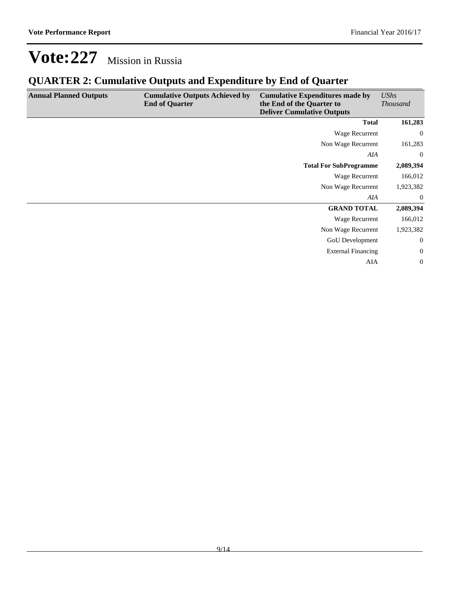## **QUARTER 2: Cumulative Outputs and Expenditure by End of Quarter**

| <b>Annual Planned Outputs</b> | <b>Cumulative Outputs Achieved by</b><br><b>End of Quarter</b> | <b>Cumulative Expenditures made by</b><br>the End of the Quarter to<br><b>Deliver Cumulative Outputs</b> | UShs<br><b>Thousand</b> |
|-------------------------------|----------------------------------------------------------------|----------------------------------------------------------------------------------------------------------|-------------------------|
|                               |                                                                | <b>Total</b>                                                                                             | 161,283                 |
|                               |                                                                | Wage Recurrent                                                                                           | $\mathbf{0}$            |
|                               |                                                                | Non Wage Recurrent                                                                                       | 161,283                 |
|                               |                                                                | AIA                                                                                                      | $\mathbf{0}$            |
|                               |                                                                | <b>Total For SubProgramme</b>                                                                            | 2,089,394               |
|                               |                                                                | Wage Recurrent                                                                                           | 166,012                 |
|                               |                                                                | Non Wage Recurrent                                                                                       | 1,923,382               |
|                               |                                                                | AIA                                                                                                      | $\mathbf{0}$            |
|                               |                                                                | <b>GRAND TOTAL</b>                                                                                       | 2,089,394               |
|                               |                                                                | Wage Recurrent                                                                                           | 166,012                 |
|                               |                                                                | Non Wage Recurrent                                                                                       | 1,923,382               |
|                               |                                                                | GoU Development                                                                                          | $\boldsymbol{0}$        |
|                               |                                                                | <b>External Financing</b>                                                                                | $\boldsymbol{0}$        |
|                               |                                                                | AIA                                                                                                      | $\boldsymbol{0}$        |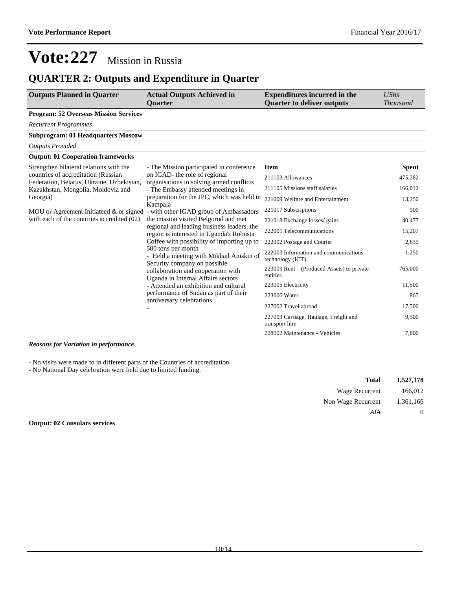### **QUARTER 2: Outputs and Expenditure in Quarter**

| <b>Outputs Planned in Quarter</b>                                                                                                                                            | <b>Actual Outputs Achieved in</b><br><b>Ouarter</b>                                            | <b>Expenditures incurred in the</b><br><b>Quarter to deliver outputs</b> | $\mathit{UShs}$<br><b>Thousand</b> |
|------------------------------------------------------------------------------------------------------------------------------------------------------------------------------|------------------------------------------------------------------------------------------------|--------------------------------------------------------------------------|------------------------------------|
| <b>Program: 52 Overseas Mission Services</b>                                                                                                                                 |                                                                                                |                                                                          |                                    |
| <b>Recurrent Programmes</b>                                                                                                                                                  |                                                                                                |                                                                          |                                    |
| <b>Subprogram: 01 Headquarters Moscow</b>                                                                                                                                    |                                                                                                |                                                                          |                                    |
| <b>Outputs Provided</b>                                                                                                                                                      |                                                                                                |                                                                          |                                    |
| <b>Output: 01 Cooperation frameworks</b>                                                                                                                                     |                                                                                                |                                                                          |                                    |
| Strengthen bilateral relations with the                                                                                                                                      | - The Mission participated in conference                                                       | <b>Item</b>                                                              | <b>Spent</b>                       |
| countries of accreditation (Russian<br>Federation, Belarus, Ukraine, Uzbekistan,                                                                                             | on IGAD- the role of regional<br>organisations in solving armed conflicts                      | 211103 Allowances                                                        | 475,282                            |
| Kazakhstan, Mongolia, Moldovia and                                                                                                                                           | - The Embassy attended meetings in                                                             | 211105 Missions staff salaries                                           | 166,012                            |
| Georgia)                                                                                                                                                                     | preparation for the JPC, which was held in                                                     | 221009 Welfare and Entertainment                                         | 13,250                             |
| MOU or Agreement Initiateed & or signed                                                                                                                                      | Kampala<br>- with other IGAD group of Ambassadors                                              | 221017 Subscriptions                                                     | 900                                |
| with each of the countries accredited (02)<br>the mission visited Belgorod and met<br>regional and leading business leaders. the<br>region is interested in Uganda's Robusta | 221018 Exchange losses/ gains                                                                  | 40,477                                                                   |                                    |
|                                                                                                                                                                              |                                                                                                | 222001 Telecommunications                                                | 15,207                             |
|                                                                                                                                                                              | Coffee with possibility of importing up to                                                     | 222002 Postage and Courier                                               | 2,635                              |
|                                                                                                                                                                              | 500 tons per month<br>- Held a meeting with Mikhail Aniskin of<br>Security company on possible | 222003 Information and communications<br>technology (ICT)                | 1,250                              |
|                                                                                                                                                                              | collaboration and cooperation with<br>Uganda in Internal Affairs sectors                       | 223003 Rent – (Produced Assets) to private<br>entities                   | 765,000                            |
|                                                                                                                                                                              | - Attended an exhibition and cultural                                                          | 223005 Electricity                                                       | 11,500                             |
|                                                                                                                                                                              | performance of Sudan as part of their<br>anniversary celebrations                              | 223006 Water                                                             | 865                                |
|                                                                                                                                                                              |                                                                                                | 227002 Travel abroad                                                     | 17,500                             |
|                                                                                                                                                                              |                                                                                                | 227003 Carriage, Haulage, Freight and<br>transport hire                  | 9,500                              |
|                                                                                                                                                                              |                                                                                                | 228002 Maintenance - Vehicles                                            | 7,800                              |

#### *Reasons for Variation in performance*

- No visits were made to in different parts of the Countries of accreditation.

- No National Day celebration were held due to limited funding.

| 1,527,178      | <b>Total</b>       |
|----------------|--------------------|
| 166,012        | Wage Recurrent     |
| 1,361,166      | Non Wage Recurrent |
| $\overline{0}$ | AIA                |
|                |                    |

**Output: 02 Consulars services**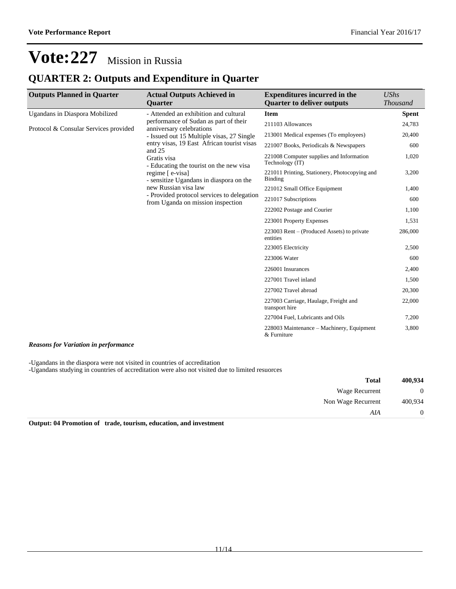### **QUARTER 2: Outputs and Expenditure in Quarter**

| <b>Outputs Planned in Quarter</b>     | <b>Actual Outputs Achieved in</b>                                               | <b>Expenditures incurred in the</b>                             | <b>UShs</b>     |
|---------------------------------------|---------------------------------------------------------------------------------|-----------------------------------------------------------------|-----------------|
|                                       | <b>Ouarter</b>                                                                  | <b>Quarter to deliver outputs</b>                               | <b>Thousand</b> |
| Ugandans in Diaspora Mobilized        | - Attended an exhibition and cultural                                           | <b>Item</b>                                                     | <b>Spent</b>    |
| Protocol & Consular Services provided | performance of Sudan as part of their<br>anniversary celebrations               | 211103 Allowances                                               | 24,783          |
|                                       | - Issued out 15 Multiple visas, 27 Single                                       | 213001 Medical expenses (To employees)                          | 20,400          |
|                                       | entry visas, 19 East African tourist visas<br>and 25                            | 221007 Books, Periodicals & Newspapers                          | 600             |
|                                       | Gratis visa<br>- Educating the tourist on the new visa                          | 221008 Computer supplies and Information<br>Technology (IT)     | 1,020           |
|                                       | regime [e-visa]<br>- sensitize Ugandans in diaspora on the                      | 221011 Printing, Stationery, Photocopying and<br><b>Binding</b> | 3,200           |
|                                       | new Russian visa law                                                            | 221012 Small Office Equipment                                   | 1,400           |
|                                       | - Provided protocol services to delegation<br>from Uganda on mission inspection | 221017 Subscriptions                                            | 600             |
|                                       |                                                                                 | 222002 Postage and Courier                                      | 1,100           |
|                                       |                                                                                 | 223001 Property Expenses                                        | 1,531           |
|                                       |                                                                                 | 223003 Rent – (Produced Assets) to private<br>entities          | 286,000         |
|                                       |                                                                                 | 223005 Electricity                                              | 2,500           |
|                                       |                                                                                 | 223006 Water                                                    | 600             |
|                                       |                                                                                 | 226001 Insurances                                               | 2,400           |
|                                       |                                                                                 | 227001 Travel inland                                            | 1,500           |
|                                       |                                                                                 | 227002 Travel abroad                                            | 20,300          |
|                                       |                                                                                 | 227003 Carriage, Haulage, Freight and<br>transport hire         | 22,000          |
|                                       |                                                                                 | 227004 Fuel, Lubricants and Oils                                | 7,200           |
|                                       |                                                                                 | 228003 Maintenance – Machinery, Equipment<br>& Furniture        | 3,800           |

#### *Reasons for Variation in performance*

-Ugandans in the diaspora were not visited in countries of accreditation

-Ugandans studying in countries of accreditation were also not visited due to limited resuorces

| 400,934  | <b>Total</b>                           |
|----------|----------------------------------------|
| $\theta$ | Wage Recurrent                         |
| 400,934  | Non Wage Recurrent                     |
| $\theta$ | AIA                                    |
|          | $\alpha$ , and it as a set of $\alpha$ |

**Output: 04 Promotion of trade, tourism, education, and investment**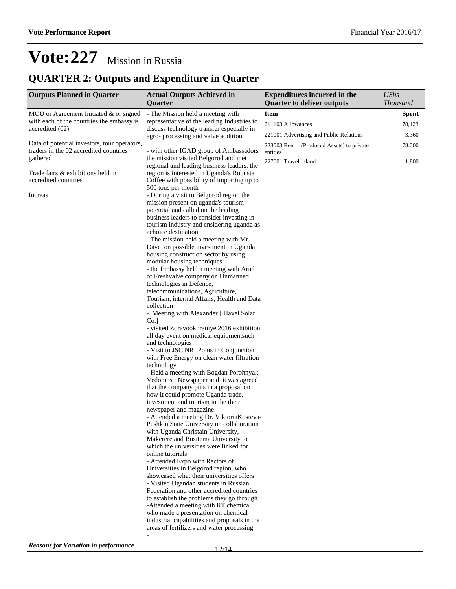## **QUARTER 2: Outputs and Expenditure in Quarter**

| <b>Outputs Planned in Quarter</b>            | <b>Actual Outputs Achieved in</b>                                                     | <b>Expenditures incurred in the</b>        | <b>UShs</b>     |
|----------------------------------------------|---------------------------------------------------------------------------------------|--------------------------------------------|-----------------|
|                                              | Quarter                                                                               | <b>Quarter to deliver outputs</b>          | <b>Thousand</b> |
| MOU or Agreement Initiated $&$ or signed     | - The Mission held a meeting with                                                     | Item                                       | <b>Spent</b>    |
| with each of the countries the embassy is    | representative of the leading Industries to                                           | 211103 Allowances                          | 78,123          |
| accredited (02)                              | discuss technology transfer especially in<br>agro-processing and valve addition       | 221001 Advertising and Public Relations    | 3,360           |
| Data of potential investors, tour operators, |                                                                                       | 223003 Rent – (Produced Assets) to private | 78,000          |
| traders in the 02 accredited countries       | - with other IGAD group of Ambassadors                                                | entities                                   |                 |
| gathered                                     | the mission visited Belgorod and met<br>regional and leading business leaders, the    | 227001 Travel inland                       | 1,800           |
| Trade fairs & exhibitions held in            | region is interested in Uganda's Robusta                                              |                                            |                 |
| accredited countries                         | Coffee with possibility of importing up to                                            |                                            |                 |
|                                              | 500 tons per month                                                                    |                                            |                 |
| Increas                                      | - During a visit to Belgorod region the<br>mission present on uganda's tourism        |                                            |                 |
|                                              | potential and called on the leading                                                   |                                            |                 |
|                                              | business leaders to consider investing in                                             |                                            |                 |
|                                              | tourism industry and cnsidering uganda as                                             |                                            |                 |
|                                              | achoice destination<br>- The mission held a meeting with Mr.                          |                                            |                 |
|                                              | Dave on possible investment in Uganda                                                 |                                            |                 |
|                                              | housing construction sector by using                                                  |                                            |                 |
|                                              | modular housing techniques                                                            |                                            |                 |
|                                              | - the Embassy held a meeting with Ariel                                               |                                            |                 |
|                                              | of Freshvalve company on Unmanned<br>technologies in Defence,                         |                                            |                 |
|                                              | telecommunications, Agriculture,                                                      |                                            |                 |
|                                              | Tourism, internal Affairs, Health and Data                                            |                                            |                 |
|                                              | collection                                                                            |                                            |                 |
|                                              | - Meeting with Alexander [ Havel Solar<br>$Co.$ ]                                     |                                            |                 |
|                                              | - visited Zdravookhraniye 2016 exhibition                                             |                                            |                 |
|                                              | all day event on medical equipmentsuch                                                |                                            |                 |
|                                              | and technologies                                                                      |                                            |                 |
|                                              | - Visit to JSC NRI Polus in Conjunction<br>with Free Energy on clean water filtration |                                            |                 |
|                                              | technology                                                                            |                                            |                 |
|                                              | - Held a meeting with Bogdan Porohnyak,                                               |                                            |                 |
|                                              | Vedomosti Newspaper and it was agreed                                                 |                                            |                 |
|                                              | that the company puts in a proposal on<br>how it could promote Uganda trade,          |                                            |                 |
|                                              | investment and tourism in the their                                                   |                                            |                 |
|                                              | newspaper and magazine                                                                |                                            |                 |
|                                              | - Attended a meeting Dr. ViktoriaKosteva-                                             |                                            |                 |
|                                              | Pushkin State University on collaboration<br>with Uganda Christain University,        |                                            |                 |
|                                              | Makerere and Busitema University to                                                   |                                            |                 |
|                                              | which the universities were linked for                                                |                                            |                 |
|                                              | online tutorials.                                                                     |                                            |                 |
|                                              | - Attended Expo with Rectors of<br>Universities in Belgorod region, who               |                                            |                 |
|                                              | showcased what their universities offers                                              |                                            |                 |
|                                              | - Visited Ugandan students in Russian                                                 |                                            |                 |
|                                              | Federation and other accredited countries                                             |                                            |                 |
|                                              | to establish the problems they go through<br>-Attended a meeting with RT chemical     |                                            |                 |
|                                              | who made a presentation on chemical                                                   |                                            |                 |
|                                              | industrial capabilities and proposals in the                                          |                                            |                 |
|                                              | areas of fertilizers and water processing                                             |                                            |                 |
|                                              |                                                                                       |                                            |                 |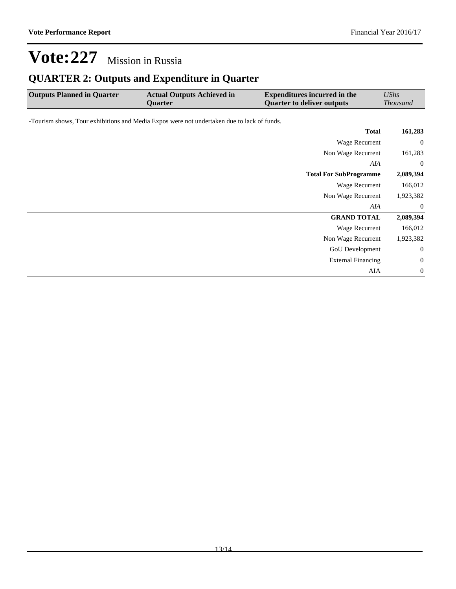## **QUARTER 2: Outputs and Expenditure in Quarter**

| <b>Outputs Planned in Quarter</b>                                                          | <b>Actual Outputs Achieved in</b><br><b>Quarter</b> | <b>Expenditures incurred in the</b><br><b>Quarter to deliver outputs</b> | <b>UShs</b><br><b>Thousand</b> |
|--------------------------------------------------------------------------------------------|-----------------------------------------------------|--------------------------------------------------------------------------|--------------------------------|
| -Tourism shows, Tour exhibitions and Media Expos were not undertaken due to lack of funds. |                                                     |                                                                          |                                |
|                                                                                            |                                                     | <b>Total</b>                                                             | 161,283                        |
|                                                                                            |                                                     | Wage Recurrent                                                           | $\mathbf{0}$                   |
|                                                                                            |                                                     | Non Wage Recurrent                                                       | 161,283                        |
|                                                                                            |                                                     | AIA                                                                      | $\overline{0}$                 |
|                                                                                            |                                                     | <b>Total For SubProgramme</b>                                            | 2,089,394                      |
|                                                                                            |                                                     | Wage Recurrent                                                           | 166,012                        |
|                                                                                            |                                                     | Non Wage Recurrent                                                       | 1,923,382                      |
|                                                                                            |                                                     | AIA                                                                      | $\overline{0}$                 |
|                                                                                            |                                                     | <b>GRAND TOTAL</b>                                                       | 2,089,394                      |
|                                                                                            |                                                     | Wage Recurrent                                                           | 166,012                        |
|                                                                                            |                                                     | Non Wage Recurrent                                                       | 1,923,382                      |
|                                                                                            |                                                     | GoU Development                                                          | 0                              |
|                                                                                            |                                                     | <b>External Financing</b>                                                | $\boldsymbol{0}$               |
|                                                                                            |                                                     | AIA                                                                      | $\mathbf{0}$                   |